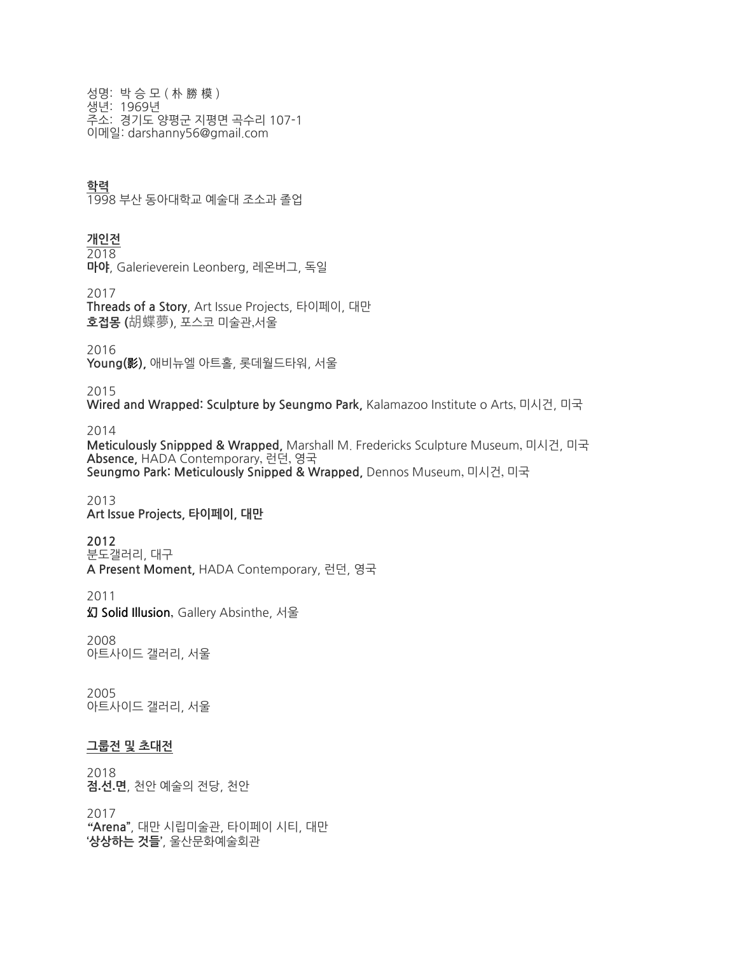성명:박승모(朴勝模) 생년: 1969년 주소: 경기도 양평군 지평면 곡수리 107-1 이메일:darshanny56@gmail.com

## **학력**

1998 부산 동아대학교 예술대 조소과 졸업

## **개인전**

 $\frac{2018}{2018}$ 

**마야, Galerieverein Leonberg, 레온버그, 독일** 

2017

Threads of a Story, Art Issue Projects, 타이페이, 대만 **호접몽(**胡蝶夢),포스코미술관,서울

2016

Young(影), 애비뉴엘 아트홀, 롯데월드타워, 서울

2015

**Wired and Wrapped: Sculpture by Seungmo Park, Kalamazoo Institute o Arts, 미시건, 미국** 

2014

Meticulously Snippped & Wrapped, Marshall M. Fredericks Sculpture Museum, 미시건, 미국 **Absence,**HADAContemporary, 런던, 영국 Seungmo Park: Meticulously Snipped & Wrapped, Dennos Museum, 미시건, 미국

2013 Art Issue Projects, 타이페이, 대만

**2012**

분도갤러리,대구 **APresentMoment,**HADAContemporary,런던,영국

2011

**幻 Solid Illusion**, Gallery Absinthe, 서울

2008 아트사이드 갤러리, 서울

2005 아트사이드 갤러리, 서울

## **그룹전및초대전**

2018 **점.선.면**,천안예술의전당,천안

2017 *"***Arena"**,대만시립미술관,타이페이시티,대만 **'상상하는것들'**,울산문화예술회관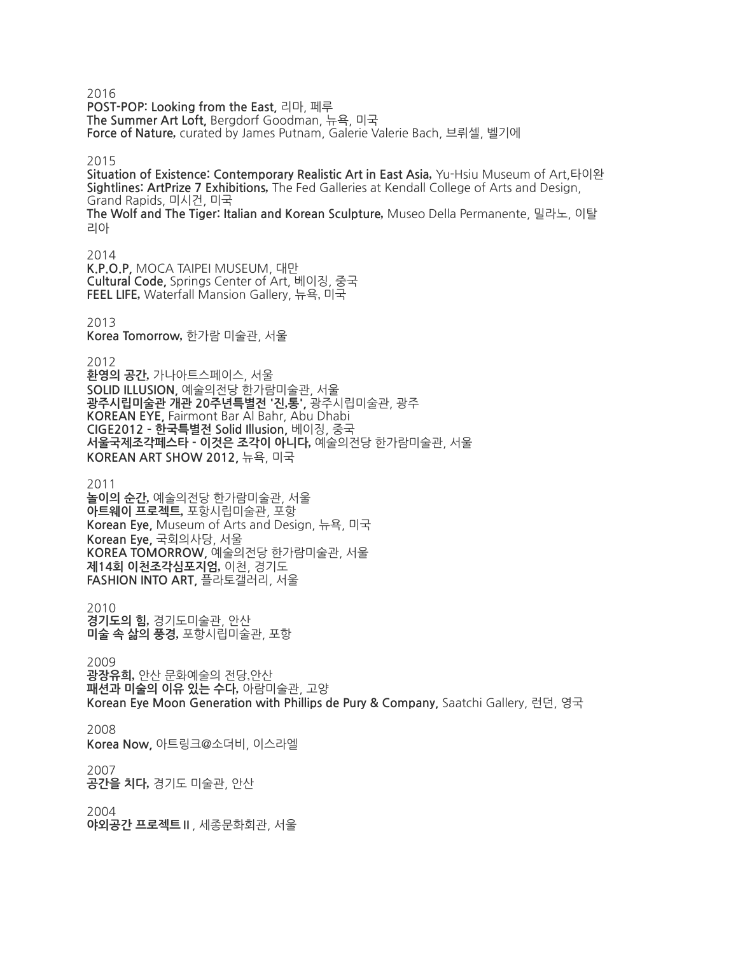2016

**POST-POP:LookingfromtheEast,**리마,페루 The Summer Art Loft, Bergdorf Goodman, 뉴욕, 미국 Force of Nature, curated by James Putnam, Galerie Valerie Bach, 브뤼셀, 벨기에

2015

**Situation of Existence: Contemporary Realistic Art in East Asia. Yu-Hsiu Museum of Art,타이완** Sightlines: ArtPrize 7 Exhibitions, The Fed Galleries at Kendall College of Arts and Design, GrandRapids,미시건,미국 **TheWolfandTheTiger:ItalianandKoreanSculpture***,*MuseoDellaPermanente,밀라노,이탈 리아

2014 **K.P.O.P,**MOCATAIPEIMUSEUM,대만 **CulturalCode,** SpringsCenterofArt,베이징,중국 **FEELLIFE***,*WaterfallMansionGallery,뉴욕, 미국

2013

**KoreaTomorrow***,*한가람미술관,서울

2012

**환영의공간***,*가나아트스페이스,서울 SOLID ILLUSION, 예술의전당 한가람미술관, 서울 **광주시립미술관개관20주년특별전'진***,***통',**광주시립미술관,광주 KOREAN EYE, Fairmont Bar Al Bahr, Abu Dhabi **CIGE2012한국특별전SolidIllusion,**베이징,중국 **서울국제조각페스타 - 이것은 조각이 아니다**, 예술의전당 한가람미술관, 서울 **KOREANARTSHOW2012,**뉴욕,미국

2011

**놀이의순간***,*예술의전당한가람미술관,서울 **아트웨이프로젝트***,*포항시립미술관,포항 **KoreanEye,**MuseumofArtsandDesign,뉴욕,미국 **KoreanEye,**국회의사당,서울 **KOREATOMORROW,**예술의전당한가람미술관,서울 **제14회이천조각심포지엄***,*이천,경기도 **FASHIONINTOART,**플라토갤러리,서울

2010 **경기도의힘***,*경기도미술관,안산 **미술속삶의풍경***,*포항시립미술관,포항

2009

**광장유희***,*안산문화예술의전당,안산 **패션과미술의이유있는수다***,*아람미술관,고양 **Korean Eye Moon Generation with Phillips de Pury & Company, Saatchi Gallery, 런던, 영국** 

2008

**KoreaNow,**아트링크@소더비,이스라엘

2007

**공간을치다***,*경기도미술관,안산

2004 **야외공간프로젝트Ⅱ**,세종문화회관,서울